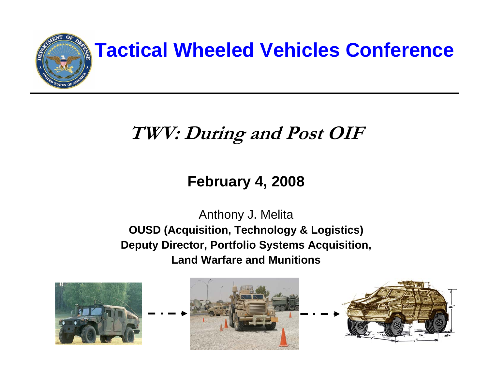

### **Tactical Wheeled Vehicles Conference**

#### **TWV: During and Post OIF**

#### **February 4, 2008**

#### Anthony J. Melita **OUSD (Acquisition, Technology & Logistics) Deputy Director, Portfolio Systems Acquisition, Land Warfare and Munitions**





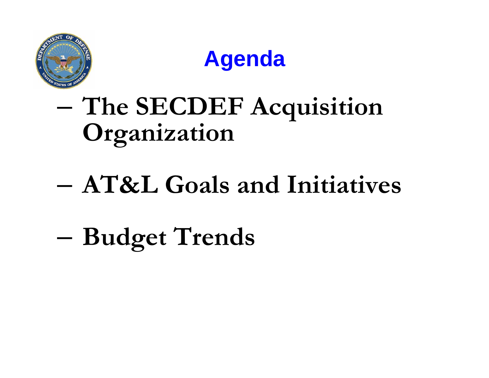



## **The SECDEF Acquisition Organization**

# **AT&L Goals and Initiatives**

**Budget Trends**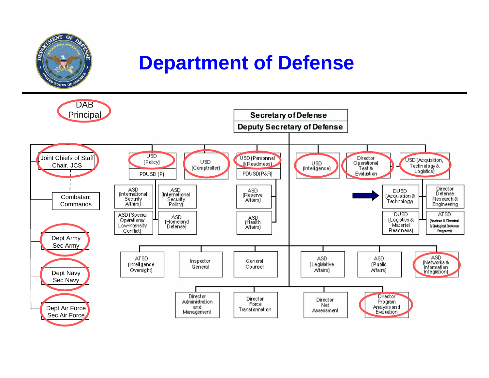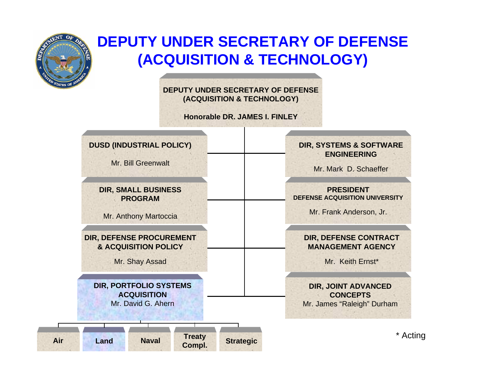

**Air**

#### **DEPUTY UNDER SECRETARY OF DEFENSE(ACQUISITION & TECHNOLOGY)**

**DEPUTY UNDER SECRETARY OF DEFENSE(ACQUISITION & TECHNOLOGY)**

**Honorable DR. JAMES I. FINLEY**



Mr. Bill Greenwalt

**DIR, SMALL BUSINESS PROGRAM**

Mr. Anthony Martoccia

**DIR, DEFENSE PROCUREMENT & ACQUISITION POLICY**

Mr. Shay Assad

**DIR, PORTFOLIO SYSTEMS ACQUISITION**Mr. David G. Ahern

**Read Complete Strategic**<br> **Compl.** Strategic

#### **DIR, SYSTEMS & SOFTWARE ENGINEERING**

Mr. Mark D. Schaeffer

**PRESIDENT DEFENSE ACQUISITION UNIVERSITY**

Mr. Frank Anderson, Jr.

#### **DIR, DEFENSE CONTRACT MANAGEMENT AGENCY**

Mr. Keith Ernst\*

**DIR, JOINT ADVANCED CONCEPTS**Mr. James "Raleigh" Durham

\* Acting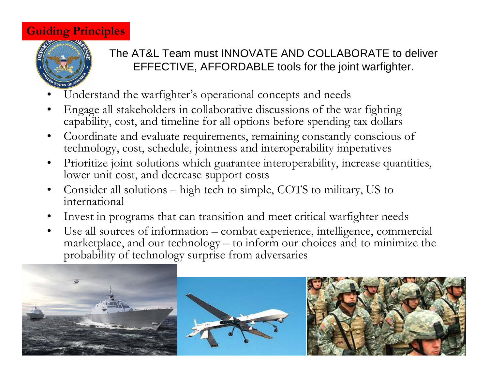#### **Guiding Principles**



#### The AT&L Team must INNOVATE AND COLLABORATE to deliver EFFECTIVE, AFFORDABLE tools for the joint warfighter.

- •Understand the warfighter's operational concepts and needs
- • Engage all stakeholders in collaborative discussions of the war fighting capability, cost, and timeline for all options before spending tax dollars
- • Coordinate and evaluate requirements, remaining constantly conscious of technology, cost, schedule, jointness and interoperability imperatives
- • Prioritize joint solutions which guarantee interoperability, increase quantities, lower unit cost, and decrease support costs
- • Consider all solutions – high tech to simple, COTS to military, US to international
- •Invest in programs that can transition and meet critical warfighter needs
- • Use all sources of information – combat experience, intelligence, commercial marketplace, and our technology – to inform our choices and to minimize the probability of technology surprise from adversaries

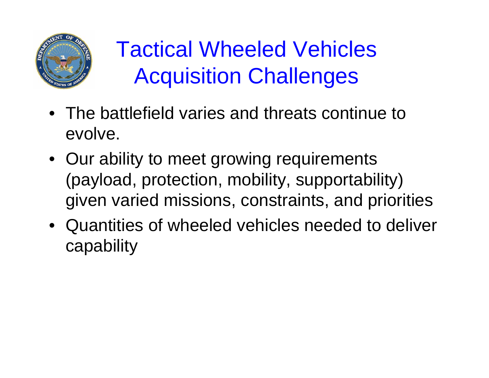

## Tactical Wheeled Vehicles Acquisition Challenges

- The battlefield varies and threats continue to evolve.
- Our ability to meet growing requirements (payload, protection, mobility, supportability) given varied missions, constraints, and priorities
- Quantities of wheeled vehicles needed to deliver capability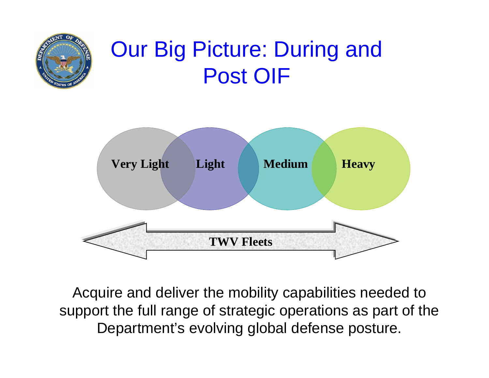

### Our Big Picture: During and Post OIF



Acquire and deliver the mobility capabilities needed to support the full range of strategic operations as part of the Department's evolving global defense posture.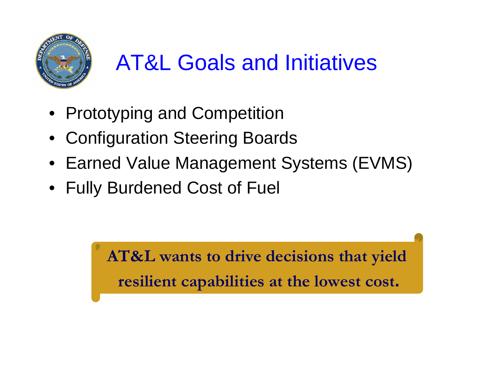

# AT&L Goals and Initiatives

- Prototyping and Competition
- Configuration Steering Boards
- Earned Value Management Systems (EVMS)
- Fully Burdened Cost of Fuel

**AT&L wants to drive decisions that yield resilient capabilities at the lowest cost.**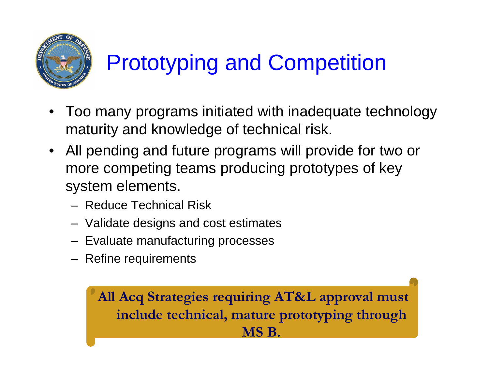

# Prototyping and Competition

- Too many programs initiated with inadequate technology maturity and knowledge of technical risk.
- All pending and future programs will provide for two or more competing teams producing prototypes of key system elements.
	- Reduce Technical Risk
	- –Validate designs and cost estimates
	- Evaluate manufacturing processes
	- Refine requirements

**All Acq Strategies requiring AT&L approval must include technical, mature prototyping through MS B.**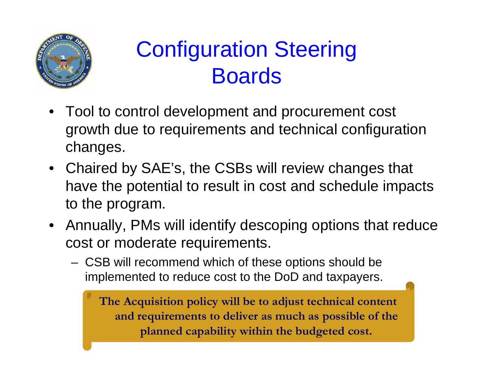

### Configuration Steering Boards

- Tool to control development and procurement cost growth due to requirements and technical configuration changes.
- Chaired by SAE's, the CSBs will review changes that have the potential to result in cost and schedule impacts to the program.
- Annually, PMs will identify descoping options that reduce cost or moderate requirements.
	- CSB will recommend which of these options should be implemented to reduce cost to the DoD and taxpayers.

**The Acquisition policy will be to adjust technical content and requirements to deliver as much as possible of the planned capability within the budgeted cost.**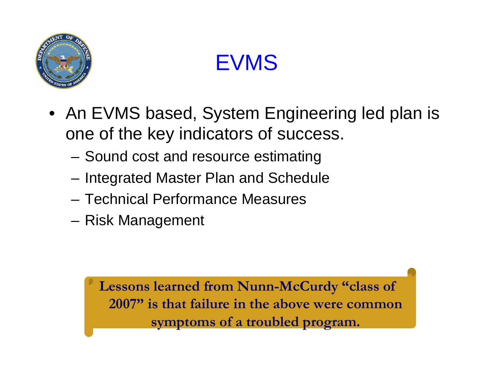

EVMS

- An EVMS based, System Engineering led plan is one of the key indicators of success.
	- –Sound cost and resource estimating
	- –Integrated Master Plan and Schedule
	- Technical Performance Measures
	- –Risk Management

**Lessons learned from Nunn-McCurdy "class of 2007" is that failure in the above were common symptoms of a troubled program.**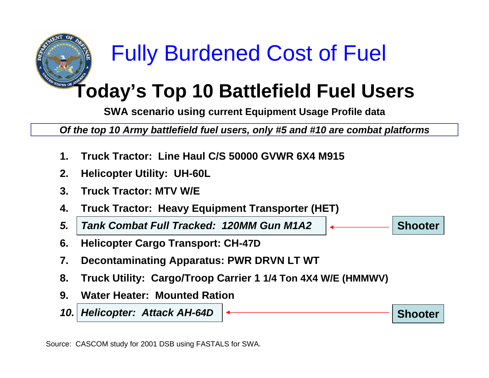

## Fully Burdened Cost of Fuel

### **Today's Top 10 Battlefield Fuel Users**

**SWA scenario using current Equipment Usage Profile data**

*Of the top 10 Army battlefield fuel users, only #5 and #10 are combat platforms* 

**Shooter**

**Shooter**

- **1.Truck Tractor: Line Haul C/S 50000 GVWR 6X4 M915**
- **2.Helicopter Utility: UH-60L**
- **3. Truck Tractor: MTV W/E**
- **4.Truck Tractor: Heavy Equipment Transporter (HET)**
- *5. Tank Combat Full Tracked: 120MM Gun M1A2*
- **6. Helicopter Cargo Transport: CH-47D**
- **7.Decontaminating Apparatus: PWR DRVN LT WT**
- **8. Truck Utility: Cargo/Troop Carrier 1 1/4 Ton 4X4 W/E (HMMWV)**
- **9. Water Heater: Mounted Ration**
- *10. Helicopter: Attack AH-64D*

Sourc e: CASCOM study for 2001 DSB using FASTALS for SWA.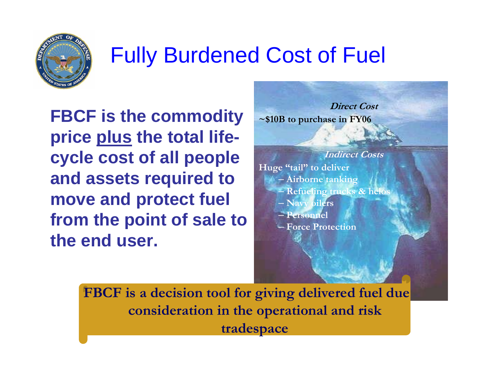

## Fully Burdened Cost of Fuel

**FBCF is the commodity price plus the total lifecycle cost of all people and assets required to move and protect fuel from the point of sale to the end user.**





**Huge "tail" to deliver**

- **Airborne tanking**
- **Refueling trucks & helos**
- **Navy oilers**
- **Personnel**
- **Force Protection**

**FBCF is a decision tool for giving delivered fuel due consideration in the operational and risk tradespace**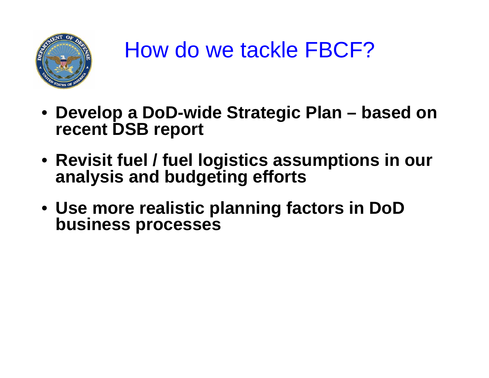

### How do we tackle FBCF?

- **Develop a DoD-wide Strategic Plan – based on recent DSB report**
- **Revisit fuel / fuel logistics assumptions in our analysis and budgeting efforts**
- **Use more realistic planning factors in DoD business processes**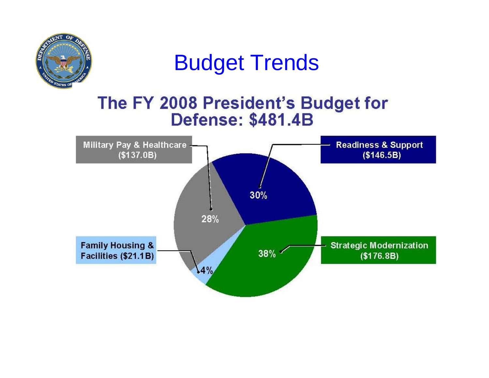

### Budget Trends

#### The FY 2008 President's Budget for **Defense: \$481.4B**

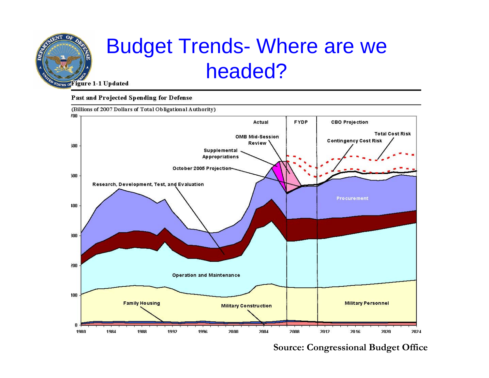

### Budget Trends- Where are we headed?

#### Past and Projected Spending for Defense

(Billions of 2007 Dollars of Total Obligational Authority)



**Source: Congressional Budget Office**